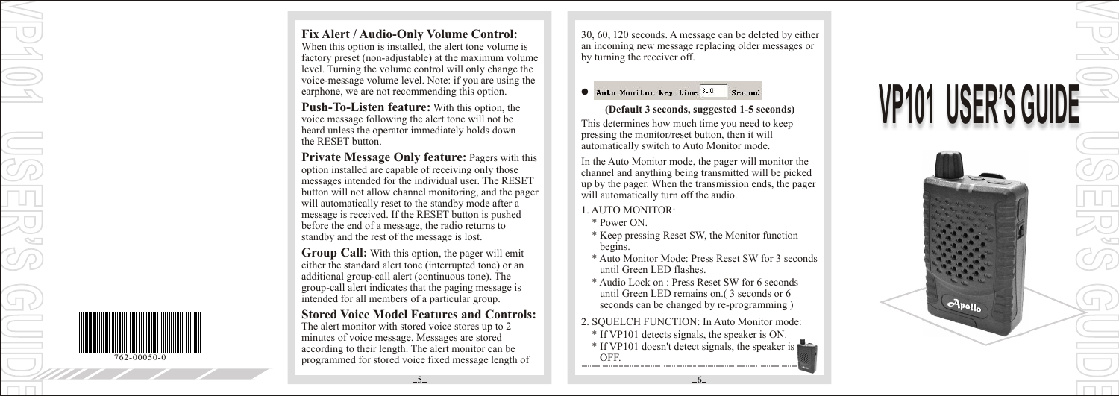

**Fix Alert / Audio-Only Volume Control:**  When this option is installed, the alert tone volume is factory preset (non-adjustable) at the maximum volume

level. Turning the volume control will only change the voice-message volume level. Note: if you are using the earphone, we are not recommending this option.

**Push-To-Listen feature:** With this option, the voice message following the alert tone will not be heard unless the operator immediately holds down the RESET button.

**Private Message Only feature:** Pagers with this option installed are capable of receiving only those messages intended for the individual user. The RESET button will not allow channel monitoring, and the pager will automatically reset to the standby mode after a message is received. If the RESET button is pushed before the end of a message, the radio returns to standby and the rest of the message is lost. **Push-To-Listen feature:** With this option, the voice message following the alert tone will not be heard unless the operator immediately holds down the RESET button.<br> **Private Message Only feature:** Pagers with thi option

**Group Call:** With this option, the pager will emit either the standard alert tone (interrupted tone) or an additional group-call alert (continuous tone). The group-call alert indicates that the paging message is intended for all members of a particular group.

**Stored Voice Model Features and Controls:** The alert monitor with stored voice stores up to 2 minutes of voice message. Messages are stored according to their length. The alert monitor can be

 $-5-$ 

30, 60, 120 seconds. A message can be deleted by either an incoming new message replacing older messages or by turning the receiver off.

**VP101**

**VVIL UID E**

**USER'S GUIDE VP101 USER'S** 

### $\bullet$

 **(Default 3 seconds, suggested 1-5 seconds)** (*Deraun 3* seconds, suggested 1-3 seconds)<br>This determines how much time you need to keep pressing the monitor/reset button, then it will automatically switch to Auto Monitor mode.

**V P 1 0 1 U** VLI) **E R'S**

 $q_{\text{poly}}$ 

In the Auto Monitor mode, the pager will monitor the channel and anything being transmitted will be picked up by the pager. When the transmission ends, the pager will automatically turn off the audio. 1<br>( เ

- 1. AUTO MONITOR:
- \* Power ON.
- \* Keep pressing Reset SW, the Monitor function begins.
- \* Auto Monitor Mode: Press Reset SW for 3 seconds until Green LED flashes.
- \* Audio Lock on : Press Reset SW for 6 seconds until Green LED remains on.( 3 seconds or 6 seconds can be changed by re-programming )
- 2. SQUELCH FUNCTION: In Auto Monitor mode: **X** \* If VP101 detects signals, the speaker is ON. \* If VP101 doesn't detect signals, the speaker is OFF .